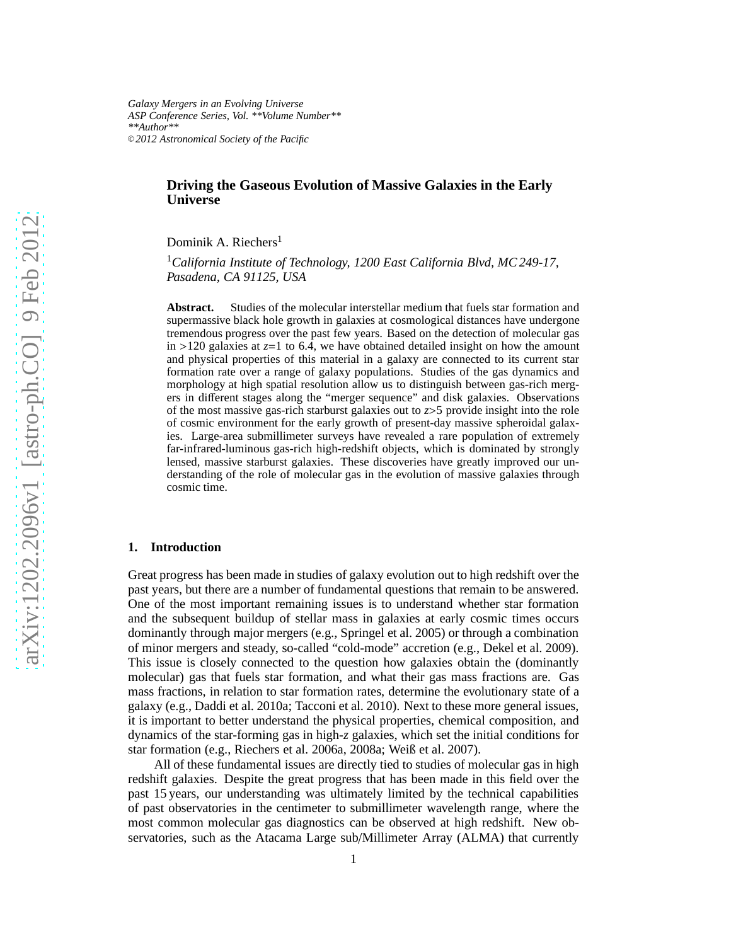*Galaxy Mergers in an Evolving Universe ASP Conference Series, Vol. \*\*Volume Number\*\* \*\*Author\*\** <sup>c</sup> *2012 Astronomical Society of the Pacific*

# **Driving the Gaseous Evolution of Massive Galaxies in the Early Universe**

Dominik A. Riechers<sup>1</sup>

<sup>1</sup>*California Institute of Technology, 1200 East California Blvd, MC 249-17, Pasadena, CA 91125, USA*

**Abstract.** Studies of the molecular interstellar medium that fuels star formation and supermassive black hole growth in galaxies at cosmological distances have undergone tremendous progress over the past few years. Based on the detection of molecular gas in  $>120$  galaxies at  $z=1$  to 6.4, we have obtained detailed insight on how the amount and physical properties of this material in a galaxy are connected to its current star formation rate over a range of galaxy populations. Studies of the gas dynamics and morphology at high spatial resolution allow us to distinguish between gas-rich mergers in different stages along the "merger sequence" and disk galaxies. Observations of the most massive gas-rich starburst galaxies out to *z*>5 provide insight into the role of cosmic environment for the early growth of present-day massive spheroidal galaxies. Large-area submillimeter surveys have revealed a rare population of extremely far-infrared-luminous gas-rich high-redshift objects, which is dominated by strongly lensed, massive starburst galaxies. These discoveries have greatly improved our understanding of the role of molecular gas in the evolution of massive galaxies through cosmic time.

### **1. Introduction**

Great progress has been made in studies of galaxy evolution out to high redshift over the past years, but there are a number of fundamental questions that remain to be answered. One of the most important remaining issues is to understand whether star formation and the subsequent buildup of stellar mass in galaxies at early cosmic times occurs dominantly through major mergers (e.g., Springel et al. 2005) or through a combination of minor mergers and steady, so-called "cold-mode" accretion (e.g., Dekel et al. 2009). This issue is closely connected to the question how galaxies obtain the (dominantly molecular) gas that fuels star formation, and what their gas mass fractions are. Gas mass fractions, in relation to star formation rates, determine the evolutionary state of a galaxy (e.g., Daddi et al. 2010a; Tacconi et al. 2010). Next to these more general issues, it is important to better understand the physical properties, chemical composition, and dynamics of the star-forming gas in high-*z* galaxies, which set the initial conditions for star formation (e.g., Riechers et al. 2006a, 2008a; Weiß et al. 2007).

All of these fundamental issues are directly tied to studies of molecular gas in high redshift galaxies. Despite the great progress that has been made in this field over the past 15 years, our understanding was ultimately limited by the technical capabilities of past observatories in the centimeter to submillimeter wavelength range, where the most common molecular gas diagnostics can be observed at high redshift. New observatories, such as the Atacama Large sub/Millimeter Array (ALMA) that currently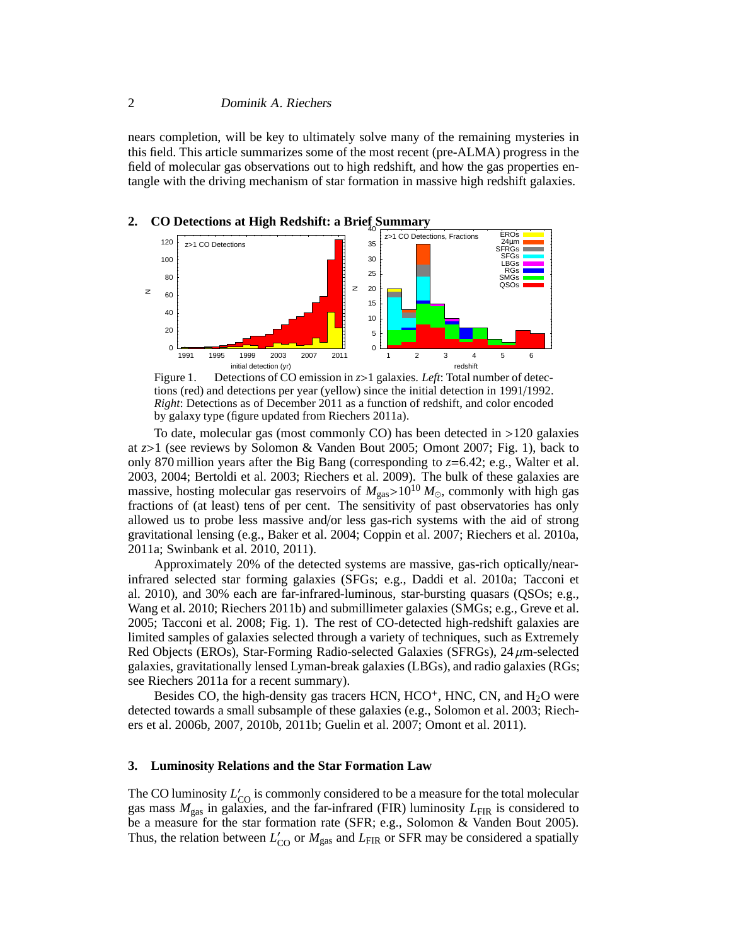nears completion, will be key to ultimately solve many of the remaining mysteries in this field. This article summarizes some of the most recent (pre-ALMA) progress in the field of molecular gas observations out to high redshift, and how the gas properties entangle with the driving mechanism of star formation in massive high redshift galaxies.



Figure 1. Detections of CO emission in *z*>1 galaxies. *Left*: Total number of detections (red) and detections per year (yellow) since the initial detection in 1991/1992. *Right*: Detections as of December 2011 as a function of redshift, and color encoded by galaxy type (figure updated from Riechers 2011a).

To date, molecular gas (most commonly CO) has been detected in >120 galaxies at *z*>1 (see reviews by Solomon & Vanden Bout 2005; Omont 2007; Fig. 1), back to only 870 million years after the Big Bang (corresponding to *z*=6.42; e.g., Walter et al. 2003, 2004; Bertoldi et al. 2003; Riechers et al. 2009). The bulk of these galaxies are massive, hosting molecular gas reservoirs of  $M_{\text{gas}} > 10^{10} M_{\odot}$ , commonly with high gas fractions of (at least) tens of per cent. The sensitivity of past observatories has only allowed us to probe less massive and/or less gas-rich systems with the aid of strong gravitational lensing (e.g., Baker et al. 2004; Coppin et al. 2007; Riechers et al. 2010a, 2011a; Swinbank et al. 2010, 2011).

Approximately 20% of the detected systems are massive, gas-rich optically/nearinfrared selected star forming galaxies (SFGs; e.g., Daddi et al. 2010a; Tacconi et al. 2010), and 30% each are far-infrared-luminous, star-bursting quasars (QSOs; e.g., Wang et al. 2010; Riechers 2011b) and submillimeter galaxies (SMGs; e.g., Greve et al. 2005; Tacconi et al. 2008; Fig. 1). The rest of CO-detected high-redshift galaxies are limited samples of galaxies selected through a variety of techniques, such as Extremely Red Objects (EROs), Star-Forming Radio-selected Galaxies (SFRGs),  $24 \mu m$ -selected galaxies, gravitationally lensed Lyman-break galaxies (LBGs), and radio galaxies (RGs; see Riechers 2011a for a recent summary).

Besides CO, the high-density gas tracers HCN,  $HCO^+$ , HNC, CN, and  $H_2O$  were detected towards a small subsample of these galaxies (e.g., Solomon et al. 2003; Riechers et al. 2006b, 2007, 2010b, 2011b; Guelin et al. 2007; Omont et al. 2011).

### **3. Luminosity Relations and the Star Formation Law**

The CO luminosity  $L'_{\text{CO}}$  is commonly considered to be a measure for the total molecular gas mass  $M_{\text{gas}}$  in galaxies, and the far-infrared (FIR) luminosity  $L_{\text{FIR}}$  is considered to be a measure for the star formation rate (SFR; e.g., Solomon & Vanden Bout 2005). Thus, the relation between  $L'_{\rm CO}$  or  $M_{\rm gas}$  and  $L_{\rm FIR}$  or SFR may be considered a spatially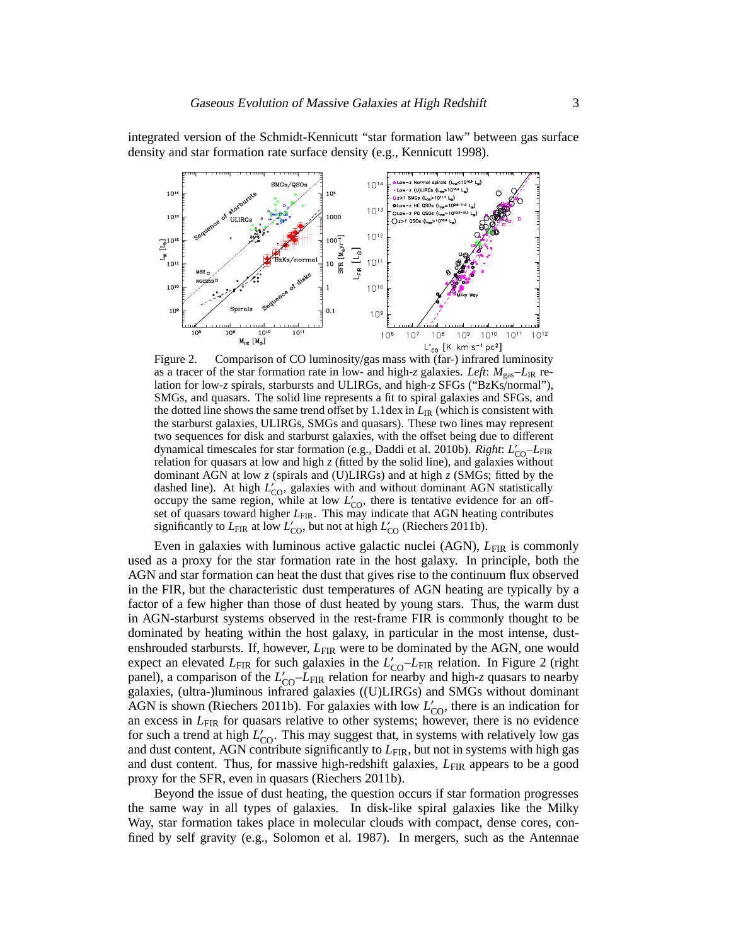integrated version of the Schmidt-Kennicutt "star formation law" between gas surface density and star formation rate surface density (e.g., Kennicutt 1998).



Figure 2. Comparison of CO luminosity/gas mass with (far-) infrared luminosity as a tracer of the star formation rate in low- and high-*z* galaxies. *Left*:  $M_{\text{gas}} - L_{\text{IR}}$  relation for low-*z* spirals, starbursts and ULIRGs, and high-*z* SFGs ("BzKs/normal"), SMGs, and quasars. The solid line represents a fit to spiral galaxies and SFGs, and the dotted line shows the same trend offset by 1.1dex in  $L_{\rm IR}$  (which is consistent with the starburst galaxies, ULIRGs, SMGs and quasars). These two lines may represent two sequences for disk and starburst galaxies, with the offset being due to different dynamical timescales for star formation (e.g., Daddi et al. 2010b). *Right*:  $L'_{\text{CO}}-L_{\text{FIR}}$ relation for quasars at low and high *z* (fitted by the solid line), and galaxies without dominant AGN at low *z* (spirals and (U)LIRGs) and at high *z* (SMGs; fitted by the dashed line). At high  $L'_{\text{CO}}$ , galaxies with and without dominant AGN statistically occupy the same region, while at low  $L'_{\text{CO}}$ , there is tentative evidence for an offset of quasars toward higher *L*<sub>FIR</sub>. This may indicate that AGN heating contributes significantly to  $L_{\text{FIR}}$  at low  $L'_{\text{CO}}$ , but not at high  $L'_{\text{CO}}$  (Riechers 2011b).

Even in galaxies with luminous active galactic nuclei (AGN), *L*FIR is commonly used as a proxy for the star formation rate in the host galaxy. In principle, both the AGN and star formation can heat the dust that gives rise to the continuum flux observed in the FIR, but the characteristic dust temperatures of AGN heating are typically by a factor of a few higher than those of dust heated by young stars. Thus, the warm dust in AGN-starburst systems observed in the rest-frame FIR is commonly thought to be dominated by heating within the host galaxy, in particular in the most intense, dustenshrouded starbursts. If, however,  $L_{\text{FIR}}$  were to be dominated by the AGN, one would expect an elevated *L*<sub>FIR</sub> for such galaxies in the *L*<sup>'</sup><sub>CO</sub>-*L*<sub>FIR</sub> relation. In Figure 2 (right panel), a comparison of the  $L'_{\text{CO}}-L_{\text{FIR}}$  relation for nearby and high-*z* quasars to nearby galaxies, (ultra-)luminous infrared galaxies ((U)LIRGs) and SMGs without dominant AGN is shown (Riechers 2011b). For galaxies with low  $L'_{\text{CO}}$ , there is an indication for an excess in *L*FIR for quasars relative to other systems; however, there is no evidence for such a trend at high  $L'_{\text{CO}}$ . This may suggest that, in systems with relatively low gas and dust content, AGN contribute significantly to  $L_{\text{FIR}}$ , but not in systems with high gas and dust content. Thus, for massive high-redshift galaxies,  $L_{\text{FIR}}$  appears to be a good proxy for the SFR, even in quasars (Riechers 2011b).

Beyond the issue of dust heating, the question occurs if star formation progresses the same way in all types of galaxies. In disk-like spiral galaxies like the Milky Way, star formation takes place in molecular clouds with compact, dense cores, confined by self gravity (e.g., Solomon et al. 1987). In mergers, such as the Antennae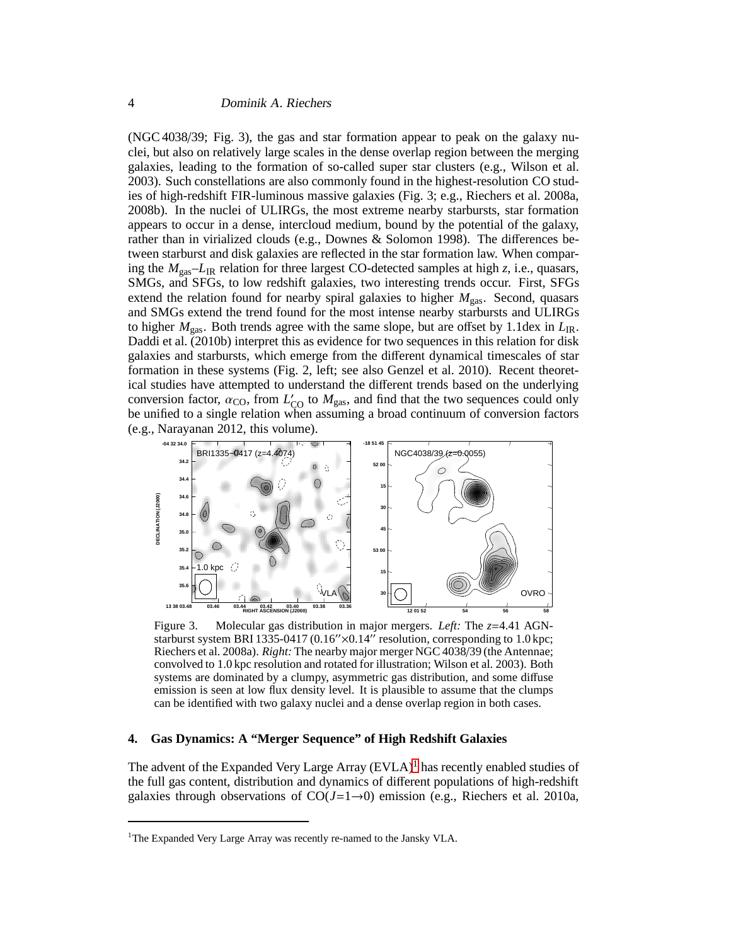(NGC 4038/39; Fig. 3), the gas and star formation appear to peak on the galaxy nuclei, but also on relatively large scales in the dense overlap region between the merging galaxies, leading to the formation of so-called super star clusters (e.g., Wilson et al. 2003). Such constellations are also commonly found in the highest-resolution CO studies of high-redshift FIR-luminous massive galaxies (Fig. 3; e.g., Riechers et al. 2008a, 2008b). In the nuclei of ULIRGs, the most extreme nearby starbursts, star formation appears to occur in a dense, intercloud medium, bound by the potential of the galaxy, rather than in virialized clouds (e.g., Downes & Solomon 1998). The differences between starburst and disk galaxies are reflected in the star formation law. When comparing the *M*gas–*L*IR relation for three largest CO-detected samples at high *z*, i.e., quasars, SMGs, and SFGs, to low redshift galaxies, two interesting trends occur. First, SFGs extend the relation found for nearby spiral galaxies to higher  $M_{gas}$ . Second, quasars and SMGs extend the trend found for the most intense nearby starbursts and ULIRGs to higher  $M_{\text{gas}}$ . Both trends agree with the same slope, but are offset by 1.1dex in  $L_{\text{IR}}$ . Daddi et al. (2010b) interpret this as evidence for two sequences in this relation for disk galaxies and starbursts, which emerge from the different dynamical timescales of star formation in these systems (Fig. 2, left; see also Genzel et al. 2010). Recent theoretical studies have attempted to understand the different trends based on the underlying conversion factor,  $\alpha_{\text{CO}}$ , from  $L'_{\text{CO}}$  to  $M_{\text{gas}}$ , and find that the two sequences could only be unified to a single relation when assuming a broad continuum of conversion factors (e.g., Narayanan 2012, this volume).



Figure 3. Molecular gas distribution in major mergers. *Left:* The *z*=4.41 AGNstarburst system BRI 1335-0417 (0.16″×0.14″ resolution, corresponding to 1.0 kpc; Riechers et al. 2008a). *Right:* The nearby major merger NGC 4038/39 (the Antennae; convolved to 1.0 kpc resolution and rotated for illustration; Wilson et al. 2003). Both systems are dominated by a clumpy, asymmetric gas distribution, and some diffuse emission is seen at low flux density level. It is plausible to assume that the clumps can be identified with two galaxy nuclei and a dense overlap region in both cases.

### **4. Gas Dynamics: A "Merger Sequence" of High Redshift Galaxies**

The advent of the Expanded Very Large Array  $(EVAL)$ <sup>[1](#page-3-0)</sup> has recently enabled studies of the full gas content, distribution and dynamics of different populations of high-redshift galaxies through observations of  $CO(J=1\rightarrow 0)$  emission (e.g., Riechers et al. 2010a,

<span id="page-3-0"></span><sup>&</sup>lt;sup>1</sup>The Expanded Very Large Array was recently re-named to the Jansky VLA.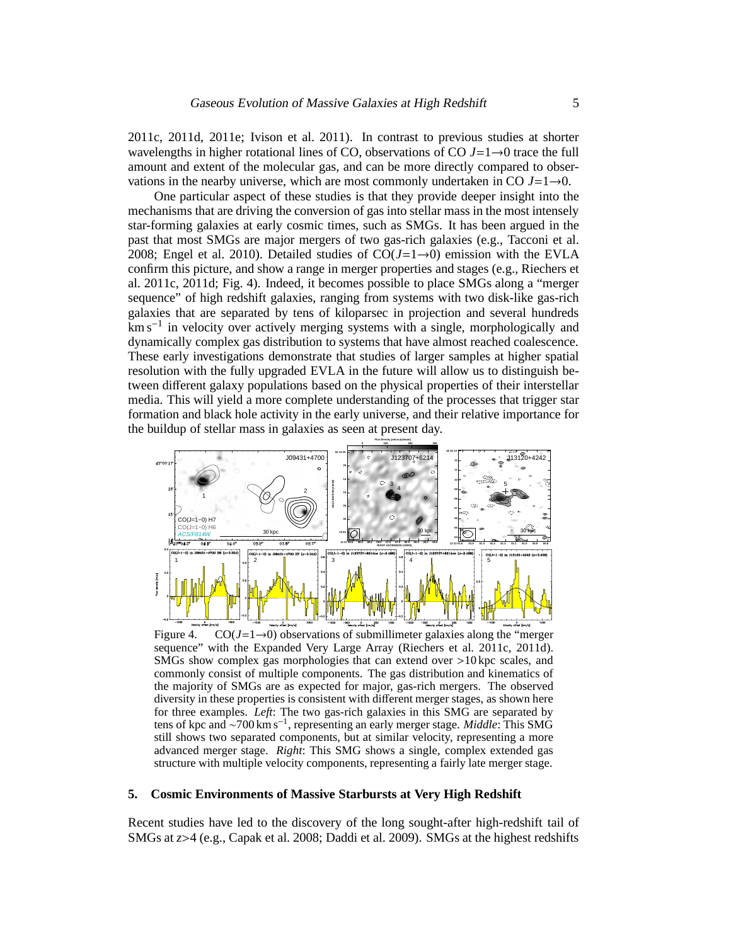2011c, 2011d, 2011e; Ivison et al. 2011). In contrast to previous studies at shorter wavelengths in higher rotational lines of CO, observations of CO *J*=1→0 trace the full amount and extent of the molecular gas, and can be more directly compared to observations in the nearby universe, which are most commonly undertaken in CO  $J=1\rightarrow 0$ .

One particular aspect of these studies is that they provide deeper insight into the mechanisms that are driving the conversion of gas into stellar mass in the most intensely star-forming galaxies at early cosmic times, such as SMGs. It has been argued in the past that most SMGs are major mergers of two gas-rich galaxies (e.g., Tacconi et al. 2008; Engel et al. 2010). Detailed studies of  $CO(J=1\rightarrow 0)$  emission with the EVLA confirm this picture, and show a range in merger properties and stages (e.g., Riechers et al. 2011c, 2011d; Fig. 4). Indeed, it becomes possible to place SMGs along a "merger sequence" of high redshift galaxies, ranging from systems with two disk-like gas-rich galaxies that are separated by tens of kiloparsec in projection and several hundreds km s<sup>-1</sup> in velocity over actively merging systems with a single, morphologically and dynamically complex gas distribution to systems that have almost reached coalescence. These early investigations demonstrate that studies of larger samples at higher spatial resolution with the fully upgraded EVLA in the future will allow us to distinguish between different galaxy populations based on the physical properties of their interstellar media. This will yield a more complete understanding of the processes that trigger star formation and black hole activity in the early universe, and their relative importance for the buildup of stellar mass in galaxies as seen at present day.



Figure 4. CO( $J=1\rightarrow 0$ ) observations of submillimeter galaxies along the "merger" sequence" with the Expanded Very Large Array (Riechers et al. 2011c, 2011d). SMGs show complex gas morphologies that can extend over >10 kpc scales, and commonly consist of multiple components. The gas distribution and kinematics of the majority of SMGs are as expected for major, gas-rich mergers. The observed diversity in these properties is consistent with different merger stages, as shown here for three examples. *Left*: The two gas-rich galaxies in this SMG are separated by tens of kpc and ∼700 km s<sup>−</sup><sup>1</sup> , representing an early merger stage. *Middle*: This SMG still shows two separated components, but at similar velocity, representing a more advanced merger stage. *Right*: This SMG shows a single, complex extended gas structure with multiple velocity components, representing a fairly late merger stage.

### **5. Cosmic Environments of Massive Starbursts at Very High Redshift**

Recent studies have led to the discovery of the long sought-after high-redshift tail of SMGs at *z*>4 (e.g., Capak et al. 2008; Daddi et al. 2009). SMGs at the highest redshifts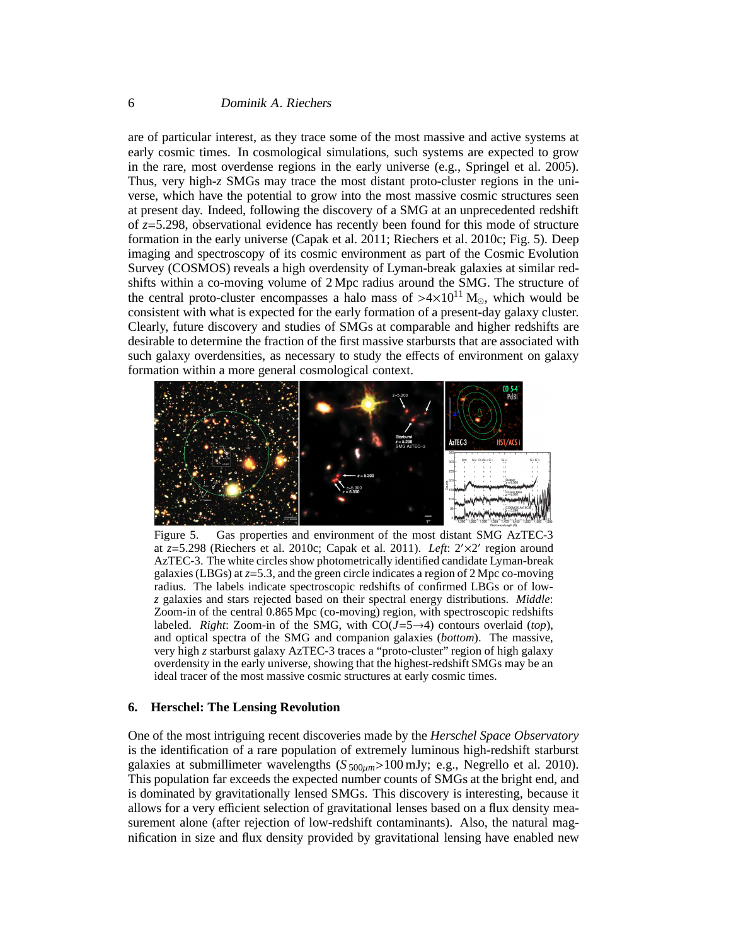are of particular interest, as they trace some of the most massive and active systems at early cosmic times. In cosmological simulations, such systems are expected to grow in the rare, most overdense regions in the early universe (e.g., Springel et al. 2005). Thus, very high-*z* SMGs may trace the most distant proto-cluster regions in the universe, which have the potential to grow into the most massive cosmic structures seen at present day. Indeed, following the discovery of a SMG at an unprecedented redshift of *z*=5.298, observational evidence has recently been found for this mode of structure formation in the early universe (Capak et al. 2011; Riechers et al. 2010c; Fig. 5). Deep imaging and spectroscopy of its cosmic environment as part of the Cosmic Evolution Survey (COSMOS) reveals a high overdensity of Lyman-break galaxies at similar redshifts within a co-moving volume of 2 Mpc radius around the SMG. The structure of the central proto-cluster encompasses a halo mass of  $>4\times10^{11}$  M<sub>☉</sub>, which would be consistent with what is expected for the early formation of a present-day galaxy cluster. Clearly, future discovery and studies of SMGs at comparable and higher redshifts are desirable to determine the fraction of the first massive starbursts that are associated with such galaxy overdensities, as necessary to study the effects of environment on galaxy formation within a more general cosmological context.



Figure 5. Gas properties and environment of the most distant SMG AzTEC-3 at *z*=5.298 (Riechers et al. 2010c; Capak et al. 2011). *Left*: 2′×2 ′ region around AzTEC-3. The white circles show photometrically identified candidate Lyman-break galaxies (LBGs) at *z*=5.3, and the green circle indicates a region of 2 Mpc co-moving radius. The labels indicate spectroscopic redshifts of confirmed LBGs or of low*z* galaxies and stars rejected based on their spectral energy distributions. *Middle*: Zoom-in of the central 0.865 Mpc (co-moving) region, with spectroscopic redshifts labeled. *Right*: Zoom-in of the SMG, with CO(*J*=5→4) contours overlaid (*top*), and optical spectra of the SMG and companion galaxies (*bottom*). The massive, very high *z* starburst galaxy AzTEC-3 traces a "proto-cluster" region of high galaxy overdensity in the early universe, showing that the highest-redshift SMGs may be an ideal tracer of the most massive cosmic structures at early cosmic times.

## **6. Herschel: The Lensing Revolution**

One of the most intriguing recent discoveries made by the *Herschel Space Observatory* is the identification of a rare population of extremely luminous high-redshift starburst galaxies at submillimeter wavelengths  $(S_{500\mu m} > 100 \text{ mJy}; e.g., Negrello et al. 2010).$ This population far exceeds the expected number counts of SMGs at the bright end, and is dominated by gravitationally lensed SMGs. This discovery is interesting, because it allows for a very efficient selection of gravitational lenses based on a flux density measurement alone (after rejection of low-redshift contaminants). Also, the natural magnification in size and flux density provided by gravitational lensing have enabled new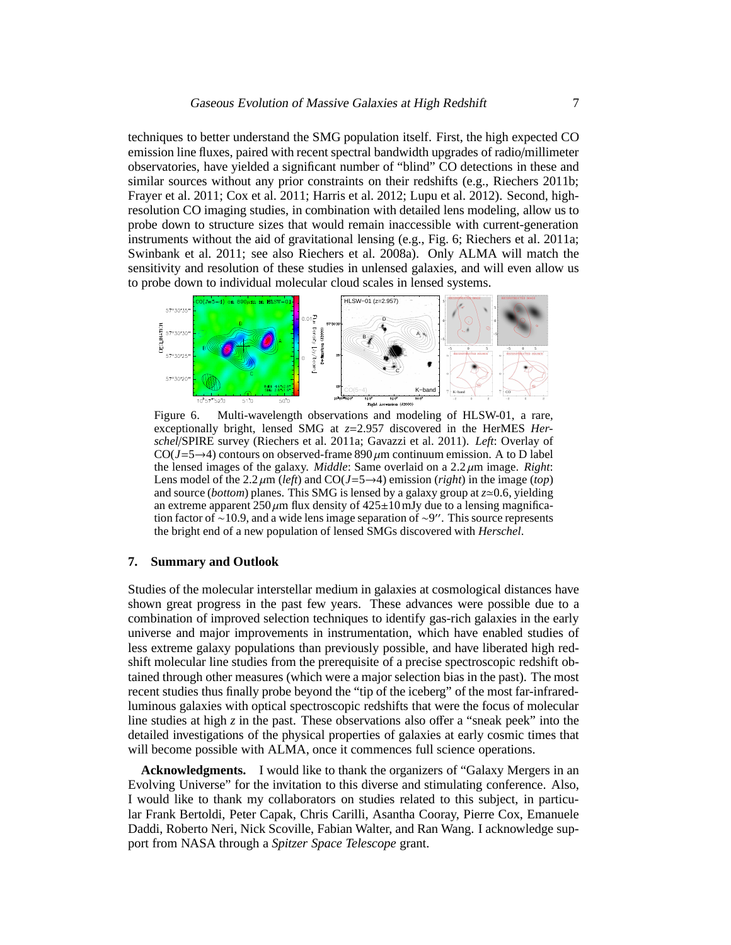techniques to better understand the SMG population itself. First, the high expected CO emission line fluxes, paired with recent spectral bandwidth upgrades of radio/millimeter observatories, have yielded a significant number of "blind" CO detections in these and similar sources without any prior constraints on their redshifts (e.g., Riechers 2011b; Frayer et al. 2011; Cox et al. 2011; Harris et al. 2012; Lupu et al. 2012). Second, highresolution CO imaging studies, in combination with detailed lens modeling, allow us to probe down to structure sizes that would remain inaccessible with current-generation instruments without the aid of gravitational lensing (e.g., Fig. 6; Riechers et al. 2011a; Swinbank et al. 2011; see also Riechers et al. 2008a). Only ALMA will match the sensitivity and resolution of these studies in unlensed galaxies, and will even allow us to probe down to individual molecular cloud scales in lensed systems.



Figure 6. Multi-wavelength observations and modeling of HLSW-01, a rare, exceptionally bright, lensed SMG at *z*=2.957 discovered in the HerMES *Herschel*/SPIRE survey (Riechers et al. 2011a; Gavazzi et al. 2011). *Left*: Overlay of CO( $J=5\rightarrow4$ ) contours on observed-frame 890  $\mu$ m continuum emission. A to D label the lensed images of the galaxy. *Middle*: Same overlaid on a 2.2 µm image. *Right*: Lens model of the  $2.2 \mu m$  (*left*) and CO(*J*=5→4) emission (*right*) in the image (*top*) and source (*bottom*) planes. This SMG is lensed by a galaxy group at  $z \approx 0.6$ , yielding an extreme apparent  $250 \mu m$  flux density of  $425 \pm 10 \,\text{mJy}$  due to a lensing magnification factor of ∼10.9, and a wide lens image separation of ∼9 ′′. This source represents the bright end of a new population of lensed SMGs discovered with *Herschel*.

## **7. Summary and Outlook**

Studies of the molecular interstellar medium in galaxies at cosmological distances have shown great progress in the past few years. These advances were possible due to a combination of improved selection techniques to identify gas-rich galaxies in the early universe and major improvements in instrumentation, which have enabled studies of less extreme galaxy populations than previously possible, and have liberated high redshift molecular line studies from the prerequisite of a precise spectroscopic redshift obtained through other measures (which were a major selection bias in the past). The most recent studies thus finally probe beyond the "tip of the iceberg" of the most far-infraredluminous galaxies with optical spectroscopic redshifts that were the focus of molecular line studies at high *z* in the past. These observations also offer a "sneak peek" into the detailed investigations of the physical properties of galaxies at early cosmic times that will become possible with ALMA, once it commences full science operations.

**Acknowledgments.** I would like to thank the organizers of "Galaxy Mergers in an Evolving Universe" for the invitation to this diverse and stimulating conference. Also, I would like to thank my collaborators on studies related to this subject, in particular Frank Bertoldi, Peter Capak, Chris Carilli, Asantha Cooray, Pierre Cox, Emanuele Daddi, Roberto Neri, Nick Scoville, Fabian Walter, and Ran Wang. I acknowledge support from NASA through a *Spitzer Space Telescope* grant.